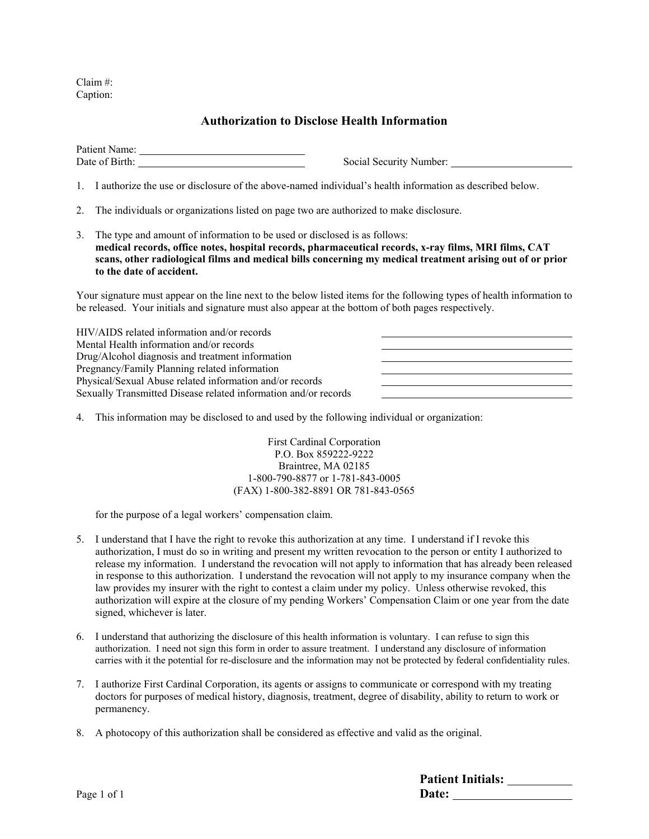Claim #: Caption:

## **Authorization to Disclose Health Information**

Patient Name: Date of Birth: Social Security Number:

1. I authorize the use or disclosure of the above-named individual's health information as described below.

- 2. The individuals or organizations listed on page two are authorized to make disclosure.
- 3. The type and amount of information to be used or disclosed is as follows: **medical records, office notes, hospital records, pharmaceutical records, x-ray films, MRI films, CAT scans, other radiological films and medical bills concerning my medical treatment arising out of or prior to the date of accident.**

Your signature must appear on the line next to the below listed items for the following types of health information to be released. Your initials and signature must also appear at the bottom of both pages respectively.

HIV/AIDS related information and/or records Mental Health information and/or records Drug/Alcohol diagnosis and treatment information Pregnancy/Family Planning related information Physical/Sexual Abuse related information and/or records Sexually Transmitted Disease related information and/or records

4. This information may be disclosed to and used by the following individual or organization:

First Cardinal Corporation P.O. Box 859222-9222 Braintree, MA 02185 1-800-790-8877 or 1-781-843-0005 (FAX) 1-800-382-8891 OR 781-843-0565

for the purpose of a legal workers' compensation claim.

- 5. I understand that I have the right to revoke this authorization at any time. I understand if I revoke this authorization, I must do so in writing and present my written revocation to the person or entity I authorized to release my information. I understand the revocation will not apply to information that has already been released in response to this authorization. I understand the revocation will not apply to my insurance company when the law provides my insurer with the right to contest a claim under my policy. Unless otherwise revoked, this authorization will expire at the closure of my pending Workers' Compensation Claim or one year from the date signed, whichever is later.
- 6. I understand that authorizing the disclosure of this health information is voluntary. I can refuse to sign this authorization. I need not sign this form in order to assure treatment. I understand any disclosure of information carries with it the potential for re-disclosure and the information may not be protected by federal confidentiality rules.
- 7. I authorize First Cardinal Corporation, its agents or assigns to communicate or correspond with my treating doctors for purposes of medical history, diagnosis, treatment, degree of disability, ability to return to work or permanency.
- 8. A photocopy of this authorization shall be considered as effective and valid as the original.

|     | <b>Patient Initials:</b> |
|-----|--------------------------|
| C 1 | Date:                    |